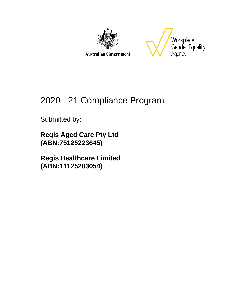

**Australian Government** 



# 2020 - 21 Compliance Program

Submitted by:

**Regis Aged Care Pty Ltd (ABN:75125223645)**

**Regis Healthcare Limited (ABN:11125203054)**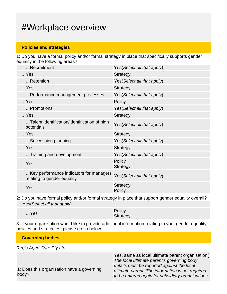### #Workplace overview

### **Policies and strategies**

1: Do you have a formal policy and/or formal strategy in place that specifically supports gender equality in the following areas?

| Recruitment                                                            | Yes (Select all that apply) |
|------------------------------------------------------------------------|-----------------------------|
| $$ Yes                                                                 | <b>Strategy</b>             |
| Retention                                                              | Yes(Select all that apply)  |
| $$ Yes                                                                 | <b>Strategy</b>             |
| Performance management processes                                       | Yes(Select all that apply)  |
| $$ Yes                                                                 | Policy                      |
| Promotions                                                             | Yes(Select all that apply)  |
| $$ Yes                                                                 | <b>Strategy</b>             |
| Talent identification/identification of high<br>potentials             | Yes(Select all that apply)  |
| $$ Yes                                                                 | <b>Strategy</b>             |
| Succession planning                                                    | Yes(Select all that apply)  |
| $$ Yes                                                                 | <b>Strategy</b>             |
| Training and development                                               | Yes(Select all that apply)  |
| $$ Yes                                                                 | Policy<br><b>Strategy</b>   |
| Key performance indicators for managers<br>relating to gender equality | Yes(Select all that apply)  |
| $$ Yes                                                                 | <b>Strategy</b><br>Policy   |
|                                                                        |                             |

2: Do you have formal policy and/or formal strategy in place that support gender equality overall? Yes(Select all that apply)

| $$ Yes | Policy   |
|--------|----------|
|        | Strategy |

3: If your organisation would like to provide additional information relating to your gender equality policies and strategies, please do so below.

| <b>Governing bodies</b>                             |                                                                                                                                                                                                                                                      |  |  |
|-----------------------------------------------------|------------------------------------------------------------------------------------------------------------------------------------------------------------------------------------------------------------------------------------------------------|--|--|
| <b>Regis Aged Care Pty Ltd</b>                      |                                                                                                                                                                                                                                                      |  |  |
| 1: Does this organisation have a governing<br>body? | Yes, same as local ultimate parent organisation(<br>The local ultimate parent's governing body<br>details must be reported against the local<br>ultimate parent. The information is not required<br>to be entered again for subsidiary organisations |  |  |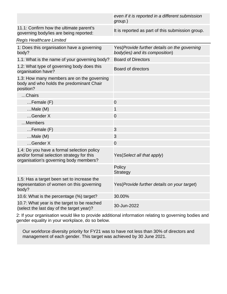|                                                                                                                                   | even if it is reported in a different submission<br>group.)                     |
|-----------------------------------------------------------------------------------------------------------------------------------|---------------------------------------------------------------------------------|
| 11.1: Confirm how the ultimate parent's<br>governing body/ies are being reported:                                                 | It is reported as part of this submission group.                                |
| <b>Regis Healthcare Limited</b>                                                                                                   |                                                                                 |
| 1: Does this organisation have a governing<br>body?                                                                               | Yes (Provide further details on the governing<br>body(ies) and its composition) |
| 1.1: What is the name of your governing body?                                                                                     | <b>Board of Directors</b>                                                       |
| 1.2: What type of governing body does this<br>organisation have?                                                                  | <b>Board of directors</b>                                                       |
| 1.3: How many members are on the governing<br>body and who holds the predominant Chair<br>position?                               |                                                                                 |
| Chairs                                                                                                                            |                                                                                 |
| $Female$ (F)                                                                                                                      | $\mathbf 0$                                                                     |
| $Male(M)$                                                                                                                         | 1                                                                               |
| Gender X                                                                                                                          | $\overline{0}$                                                                  |
| Members                                                                                                                           |                                                                                 |
| $Female$ (F)                                                                                                                      | 3                                                                               |
| $$ Male (M)                                                                                                                       | 3                                                                               |
| Gender X                                                                                                                          | $\overline{0}$                                                                  |
| 1.4: Do you have a formal selection policy<br>and/or formal selection strategy for this<br>organisation's governing body members? | Yes(Select all that apply)                                                      |
|                                                                                                                                   | Policy<br><b>Strategy</b>                                                       |
| 1.5: Has a target been set to increase the<br>representation of women on this governing<br>body?                                  | Yes (Provide further details on your target)                                    |
| 10.6: What is the percentage (%) target?                                                                                          | 30.00%                                                                          |
| 10.7: What year is the target to be reached<br>(select the last day of the target year)?                                          | 30-Jun-2022                                                                     |

2: If your organisation would like to provide additional information relating to governing bodies and gender equality in your workplace, do so below.

Our workforce diversity priority for FY21 was to have not less than 30% of directors and management of each gender. This target was achieved by 30 June 2021.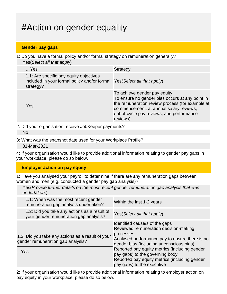## #Action on gender equality

### **Gender pay gaps**

1: Do you have a formal policy and/or formal strategy on remuneration generally? Yes(Select all that apply)

| $$ Yes                                                                                                                          | <b>Strategy</b>                                                                                                                                                                                                                        |
|---------------------------------------------------------------------------------------------------------------------------------|----------------------------------------------------------------------------------------------------------------------------------------------------------------------------------------------------------------------------------------|
| 1.1: Are specific pay equity objectives<br>included in your formal policy and/or formal Yes(Select all that apply)<br>strategy? |                                                                                                                                                                                                                                        |
| $$ Yes                                                                                                                          | To achieve gender pay equity<br>To ensure no gender bias occurs at any point in<br>the remuneration review process (for example at<br>commencement, at annual salary reviews,<br>out-of-cycle pay reviews, and performance<br>reviews) |

- 2: Did your organisation receive JobKeeper payments? No
- 3: What was the snapshot date used for your Workplace Profile?

31-Mar-2021

4: If your organisation would like to provide additional information relating to gender pay gaps in your workplace, please do so below.

#### **Employer action on pay equity**

1: Have you analysed your payroll to determine if there are any remuneration gaps between women and men (e.g. conducted a gender pay gap analysis)?

| Yes (Provide further details on the most recent gender remuneration gap analysis that was |  |  |  |  |  |
|-------------------------------------------------------------------------------------------|--|--|--|--|--|
| undertaken.)                                                                              |  |  |  |  |  |

| 1.1: When was the most recent gender<br>remuneration gap analysis undertaken?          | Within the last 1-2 years                                                                                                                                                          |
|----------------------------------------------------------------------------------------|------------------------------------------------------------------------------------------------------------------------------------------------------------------------------------|
| 1.2: Did you take any actions as a result of<br>your gender remuneration gap analysis? | Yes (Select all that apply)                                                                                                                                                        |
| 1.2: Did you take any actions as a result of your<br>gender remuneration gap analysis? | Identified cause/s of the gaps<br>Reviewed remuneration decision-making<br>processes<br>Analysed performance pay to ensure there is no<br>gender bias (including unconscious bias) |
| Yes                                                                                    | Reported pay equity metrics (including gender<br>pay gaps) to the governing body<br>Reported pay equity metrics (including gender<br>pay gaps) to the executive                    |

2: If your organisation would like to provide additional information relating to employer action on pay equity in your workplace, please do so below.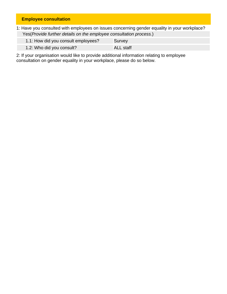### **Employee consultation**

1: Have you consulted with employees on issues concerning gender equality in your workplace? Yes(Provide further details on the employee consultation process.)

| 1.1: How did you consult employees? | Survey    |
|-------------------------------------|-----------|
| 1.2: Who did you consult?           | ALL staff |

2: If your organisation would like to provide additional information relating to employee consultation on gender equality in your workplace, please do so below.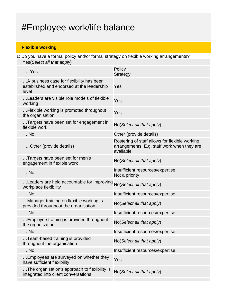## #Employee work/life balance

### **Flexible working**

1: Do you have a formal policy and/or formal strategy on flexible working arrangements? Yes(Select all that apply)

| $$ Yes                                                                                          | Policy<br><b>Strategy</b>                                                                                  |
|-------------------------------------------------------------------------------------------------|------------------------------------------------------------------------------------------------------------|
| A business case for flexibility has been<br>established and endorsed at the leadership<br>level | Yes                                                                                                        |
| Leaders are visible role models of flexible<br>working                                          | Yes                                                                                                        |
| Flexible working is promoted throughout<br>the organisation                                     | Yes                                                                                                        |
| Targets have been set for engagement in<br>flexible work                                        | No(Select all that apply)                                                                                  |
| $$ No                                                                                           | Other (provide details)                                                                                    |
| Other (provide details)                                                                         | Rostering of staff allows for flexible working<br>arrangements. E.g. staff work when they are<br>available |
| Targets have been set for men's<br>engagement in flexible work                                  | No(Select all that apply)                                                                                  |
| $$ No                                                                                           | Insufficient resources/expertise<br>Not a priority                                                         |
| Leaders are held accountable for improving<br>workplace flexibility                             | No(Select all that apply)                                                                                  |
| $$ No                                                                                           | Insufficient resources/expertise                                                                           |
| Manager training on flexible working is<br>provided throughout the organisation                 | No(Select all that apply)                                                                                  |
| $$ No                                                                                           | Insufficient resources/expertise                                                                           |
| Employee training is provided throughout<br>the organisation                                    | No(Select all that apply)                                                                                  |
| No.                                                                                             | Insufficient resources/expertise                                                                           |
| Team-based training is provided<br>throughout the organisation                                  | No(Select all that apply)                                                                                  |
| $$ No                                                                                           | Insufficient resources/expertise                                                                           |
| Employees are surveyed on whether they<br>have sufficient flexibility                           | Yes                                                                                                        |
| The organisation's approach to flexibility is<br>integrated into client conversations           | No(Select all that apply)                                                                                  |
|                                                                                                 |                                                                                                            |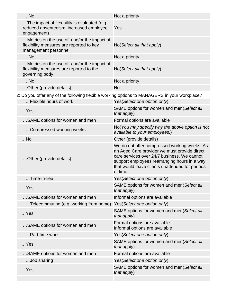| $$ No                                                                                                                  | Not a priority                                                                                                                                                                                                                                             |  |  |
|------------------------------------------------------------------------------------------------------------------------|------------------------------------------------------------------------------------------------------------------------------------------------------------------------------------------------------------------------------------------------------------|--|--|
| The impact of flexibility is evaluated (e.g.<br>reduced absenteeism, increased employee<br>engagement)                 | Yes                                                                                                                                                                                                                                                        |  |  |
| Metrics on the use of, and/or the impact of,<br>flexibility measures are reported to key<br>management personnel       | No(Select all that apply)                                                                                                                                                                                                                                  |  |  |
| $$ No                                                                                                                  | Not a priority                                                                                                                                                                                                                                             |  |  |
| Metrics on the use of, and/or the impact of,<br>flexibility measures are reported to the<br>governing body             | No(Select all that apply)                                                                                                                                                                                                                                  |  |  |
| $$ No                                                                                                                  | Not a priority                                                                                                                                                                                                                                             |  |  |
| Other (provide details)                                                                                                | <b>No</b>                                                                                                                                                                                                                                                  |  |  |
| 2: Do you offer any of the following flexible working options to MANAGERS in your workplace?<br>Flexible hours of work | Yes(Select one option only)                                                                                                                                                                                                                                |  |  |
| $$ Yes                                                                                                                 | SAME options for women and men(Select all<br>that apply)                                                                                                                                                                                                   |  |  |
| SAME options for women and men                                                                                         | Formal options are available                                                                                                                                                                                                                               |  |  |
| Compressed working weeks                                                                                               | No(You may specify why the above option is not<br>available to your employees.)                                                                                                                                                                            |  |  |
| $$ No                                                                                                                  | Other (provide details)                                                                                                                                                                                                                                    |  |  |
| Other (provide details)                                                                                                | We do not offer compressed working weeks. As<br>an Aged Care provider we must provide direct<br>care services over 24/7 business. We cannot<br>support employees rearranging hours in a way<br>that would leave clients unattended for periods<br>of time. |  |  |
| .Time-in-lieu                                                                                                          | Yes(Select one option only)                                                                                                                                                                                                                                |  |  |
| $$ Yes                                                                                                                 | SAME options for women and men(Select all<br>that apply)                                                                                                                                                                                                   |  |  |
| SAME options for women and men                                                                                         | Informal options are available                                                                                                                                                                                                                             |  |  |
| Telecommuting (e.g. working from home)                                                                                 | Yes(Select one option only)                                                                                                                                                                                                                                |  |  |
| $$ Yes                                                                                                                 | SAME options for women and men(Select all<br>that apply)                                                                                                                                                                                                   |  |  |
| SAME options for women and men                                                                                         | Formal options are available<br>Informal options are available                                                                                                                                                                                             |  |  |
| Part-time work                                                                                                         | Yes(Select one option only)                                                                                                                                                                                                                                |  |  |
| $$ Yes                                                                                                                 | SAME options for women and men(Select all<br>that apply)                                                                                                                                                                                                   |  |  |
| SAME options for women and men                                                                                         | Formal options are available                                                                                                                                                                                                                               |  |  |
| Job sharing                                                                                                            | Yes(Select one option only)                                                                                                                                                                                                                                |  |  |
| $$ Yes                                                                                                                 | SAME options for women and men(Select all<br>that apply)                                                                                                                                                                                                   |  |  |
|                                                                                                                        |                                                                                                                                                                                                                                                            |  |  |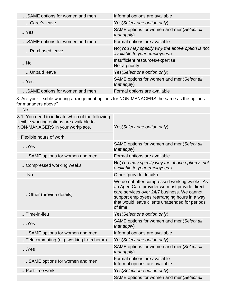| Informal options are available                                                  |
|---------------------------------------------------------------------------------|
| Yes (Select one option only)                                                    |
| SAME options for women and men(Select all<br>that apply)                        |
| Formal options are available                                                    |
| No(You may specify why the above option is not<br>available to your employees.) |
| Insufficient resources/expertise<br>Not a priority                              |
| Yes(Select one option only)                                                     |
| SAME options for women and men(Select all<br>that $apply$ )                     |
| Formal options are available                                                    |
|                                                                                 |

3: Are your flexible working arrangement options for NON-MANAGERS the same as the options for managers above?

| <b>No</b>                                                                                                                        |                                                                                                                                                                                                                                                            |  |  |
|----------------------------------------------------------------------------------------------------------------------------------|------------------------------------------------------------------------------------------------------------------------------------------------------------------------------------------------------------------------------------------------------------|--|--|
| 3.1: You need to indicate which of the following<br>flexible working options are available to<br>NON-MANAGERS in your workplace. | Yes(Select one option only)                                                                                                                                                                                                                                |  |  |
| Flexible hours of work                                                                                                           |                                                                                                                                                                                                                                                            |  |  |
| $$ Yes                                                                                                                           | SAME options for women and men(Select all<br>that $apply$ )                                                                                                                                                                                                |  |  |
| SAME options for women and men                                                                                                   | Formal options are available                                                                                                                                                                                                                               |  |  |
| Compressed working weeks                                                                                                         | No(You may specify why the above option is not<br>available to your employees.)                                                                                                                                                                            |  |  |
| $$ No                                                                                                                            | Other (provide details)                                                                                                                                                                                                                                    |  |  |
| Other (provide details)                                                                                                          | We do not offer compressed working weeks. As<br>an Aged Care provider we must provide direct<br>care services over 24/7 business. We cannot<br>support employees rearranging hours in a way<br>that would leave clients unattended for periods<br>of time. |  |  |
| $$ Time-in-lieu                                                                                                                  | Yes(Select one option only)                                                                                                                                                                                                                                |  |  |
| $$ Yes                                                                                                                           | SAME options for women and men(Select all<br>that apply)                                                                                                                                                                                                   |  |  |
| SAME options for women and men                                                                                                   | Informal options are available                                                                                                                                                                                                                             |  |  |
| Telecommuting (e.g. working from home)                                                                                           | Yes(Select one option only)                                                                                                                                                                                                                                |  |  |
| $$ Yes                                                                                                                           | SAME options for women and men(Select all<br>that apply)                                                                                                                                                                                                   |  |  |
| SAME options for women and men                                                                                                   | Formal options are available<br>Informal options are available                                                                                                                                                                                             |  |  |
| Part-time work                                                                                                                   | Yes(Select one option only)                                                                                                                                                                                                                                |  |  |
|                                                                                                                                  | SAME options for women and men(Select all                                                                                                                                                                                                                  |  |  |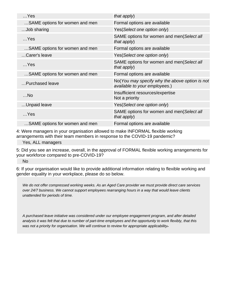| that apply)                                                                     |
|---------------------------------------------------------------------------------|
| Formal options are available                                                    |
| Yes(Select one option only)                                                     |
| SAME options for women and men(Select all<br>that apply)                        |
| Formal options are available                                                    |
| Yes(Select one option only)                                                     |
| SAME options for women and men(Select all<br>that $apply$ )                     |
| Formal options are available                                                    |
| No(You may specify why the above option is not<br>available to your employees.) |
| Insufficient resources/expertise<br>Not a priority                              |
| Yes(Select one option only)                                                     |
| SAME options for women and men(Select all<br>that apply)                        |
| Formal options are available                                                    |
|                                                                                 |

4: Were managers in your organisation allowed to make INFORMAL flexible working arrangements with their team members in response to the COVID-19 pandemic?

Yes, ALL managers

5: Did you see an increase, overall, in the approval of FORMAL flexible working arrangements for your workforce compared to pre-COVID-19?

No

6: If your organisation would like to provide additional information relating to flexible working and gender equality in your workplace, please do so below.

We do not offer compressed working weeks. As an Aged Care provider we must provide direct care services over 24/7 business. We cannot support employees rearranging hours in a way that would leave clients unattended for periods of time.

A purchased leave initiative was considered under our employee engagement program, and after detailed analysis it was felt that due to number of part-time employees and the opportunity to work flexibly, that this was not a priority for organisation. We will continue to review for appropriate applicability-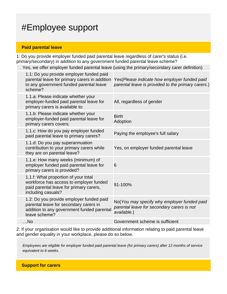### #Employee support

#### **Paid parental leave**

1: Do you provide employer funded paid parental leave regardless of carer's status (i.e. primary/secondary) in addition to any government funded parental leave scheme?

Yes, we offer employer funded parental leave (using the primary/secondary carer definition)

| 1.1: Do you provide employer funded paid<br>parental leave for primary carers in addition<br>to any government funded parental leave<br>scheme?   | Yes(Please indicate how employer funded paid<br>parental leave is provided to the primary carers.)       |
|---------------------------------------------------------------------------------------------------------------------------------------------------|----------------------------------------------------------------------------------------------------------|
| 1.1.a: Please indicate whether your<br>employer-funded paid parental leave for<br>primary carers is available to:                                 | All, regardless of gender                                                                                |
| 1.1.b: Please indicate whether your<br>employer-funded paid parental leave for<br>primary carers covers:                                          | <b>Birth</b><br>Adoption                                                                                 |
| 1.1.c: How do you pay employer funded<br>paid parental leave to primary carers?                                                                   | Paying the employee's full salary                                                                        |
| 1.1.d: Do you pay superannuation<br>contribution to your primary carers while<br>they are on parental leave?                                      | Yes, on employer funded parental leave                                                                   |
| 1.1.e: How many weeks (minimum) of<br>employer funded paid parental leave for<br>primary carers is provided?                                      | 6                                                                                                        |
| 1.1.f: What proportion of your total<br>workforce has access to employer funded<br>paid parental leave for primary carers,<br>including casuals?  | 91-100%                                                                                                  |
| 1.2: Do you provide employer funded paid<br>parental leave for secondary carers in<br>addition to any government funded parental<br>leave scheme? | No(You may specify why employer funded paid<br>parental leave for secondary carers is not<br>available.) |
| $$ No                                                                                                                                             | Government scheme is sufficient                                                                          |
|                                                                                                                                                   |                                                                                                          |

2: If your organisation would like to provide additional information relating to paid parental leave and gender equality in your workplace, please do so below.

Employees are eligible for employer funded paid parental leave (for primary carers) after 12 months of service equivalent to 6 weeks.

**Support for carers**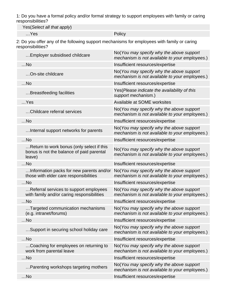1: Do you have a formal policy and/or formal strategy to support employees with family or caring responsibilities?

Yes(Select all that apply)

…Yes Policy

2: Do you offer any of the following support mechanisms for employees with family or caring responsibilities?

| Employer subsidised childcare                                                                    | No(You may specify why the above support<br>mechanism is not available to your employees.) |
|--------------------------------------------------------------------------------------------------|--------------------------------------------------------------------------------------------|
| $$ No                                                                                            | Insufficient resources/expertise                                                           |
| On-site childcare                                                                                | No(You may specify why the above support<br>mechanism is not available to your employees.) |
| $$ No                                                                                            | Insufficient resources/expertise                                                           |
| Breastfeeding facilities                                                                         | Yes(Please indicate the availability of this<br>support mechanism.)                        |
| $$ Yes                                                                                           | Available at SOME worksites                                                                |
| Childcare referral services                                                                      | No(You may specify why the above support<br>mechanism is not available to your employees.) |
| $$ No                                                                                            | Insufficient resources/expertise                                                           |
| Internal support networks for parents                                                            | No(You may specify why the above support<br>mechanism is not available to your employees.) |
| $$ No                                                                                            | Insufficient resources/expertise                                                           |
| Return to work bonus (only select if this<br>bonus is not the balance of paid parental<br>leave) | No(You may specify why the above support<br>mechanism is not available to your employees.) |
| $$ No                                                                                            | Insufficient resources/expertise                                                           |
| Information packs for new parents and/or<br>those with elder care responsibilities               | No(You may specify why the above support<br>mechanism is not available to your employees.) |
| $$ No                                                                                            | Insufficient resources/expertise                                                           |
| Referral services to support employees<br>with family and/or caring responsibilities             | No(You may specify why the above support<br>mechanism is not available to your employees.) |
| $$ No                                                                                            | Insufficient resources/expertise                                                           |
| Targeted communication mechanisms<br>(e.g. intranet/forums)                                      | No(You may specify why the above support<br>mechanism is not available to your employees.) |
| $$ No                                                                                            | Insufficient resources/expertise                                                           |
| Support in securing school holiday care                                                          | No(You may specify why the above support<br>mechanism is not available to your employees.) |
| $$ No                                                                                            | Insufficient resources/expertise                                                           |
| Coaching for employees on returning to<br>work from parental leave                               | No(You may specify why the above support<br>mechanism is not available to your employees.) |
| $$ No                                                                                            | Insufficient resources/expertise                                                           |
| Parenting workshops targeting mothers                                                            | No(You may specify why the above support<br>mechanism is not available to your employees.) |
| $$ No                                                                                            | Insufficient resources/expertise                                                           |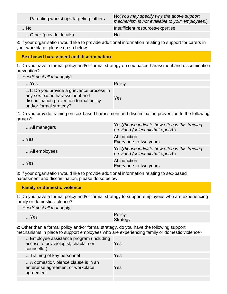| Parenting workshops targeting fathers | No (You may specify why the above support<br>mechanism is not available to your employees.) |
|---------------------------------------|---------------------------------------------------------------------------------------------|
| …No∕                                  | Insufficient resources/expertise                                                            |
| Other (provide details)               | <b>No</b>                                                                                   |

3: If your organisation would like to provide additional information relating to support for carers in your workplace, please do so below.

### **Sex-based harassment and discrimination**

1: Do you have a formal policy and/or formal strategy on sex-based harassment and discrimination prevention?

Yes(Select all that apply)

| $$ Yes                                                                                                                                            | Policy |
|---------------------------------------------------------------------------------------------------------------------------------------------------|--------|
| 1.1: Do you provide a grievance process in<br>any sex-based harasssment and<br>discrimination prevention formal policy<br>and/or formal strategy? | Yes    |

2: Do you provide training on sex-based harassment and discrimination prevention to the following groups?

| All managers  | Yes(Please indicate how often is this training<br>provided (select all that apply):)  |
|---------------|---------------------------------------------------------------------------------------|
| $$ Yes        | At induction<br>Every one-to-two years                                                |
| All employees | Yes (Please indicate how often is this training<br>provided (select all that apply):) |
| $$ Yes        | At induction<br>Every one-to-two years                                                |

3: If your organisation would like to provide additional information relating to sex-based harassment and discrimination, please do so below.

#### **Family or domestic violence**

1: Do you have a formal policy and/or formal strategy to support employees who are experiencing family or domestic violence?

Yes(Select all that apply)

| $$ Yes | Policy   |
|--------|----------|
|        | Strategy |

2: Other than a formal policy and/or formal strategy, do you have the following support mechanisms in place to support employees who are experiencing family or domestic violence?

| Employee assistance program (including<br>access to psychologist, chaplain or<br>counsellor) | Yes |
|----------------------------------------------------------------------------------------------|-----|
| Training of key personnel                                                                    | Yes |
| A domestic violence clause is in an<br>enterprise agreement or workplace<br>agreement        | Yes |
|                                                                                              |     |